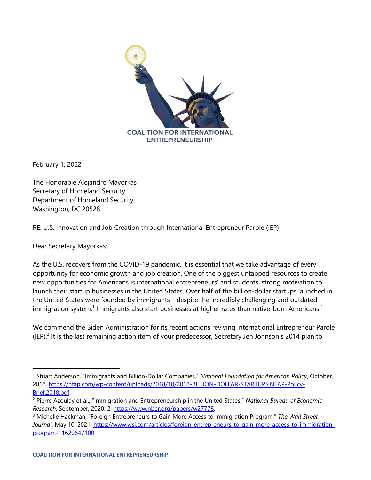

February 1, 2022

The Honorable Alejandro Mayorkas Secretary of Homeland Security Department of Homeland Security Washington, DC 20528

RE: U.S. Innovation and Job Creation through International Entrepreneur Parole (IEP)

Dear Secretary Mayorkas:

As the U.S. recovers from the COVID-19 pandemic, it is essential that we take advantage of every opportunity for economic growth and job creation. One of the biggest untapped resources to create new opportunities for Americans is international entrepreneurs' and students' strong motivation to launch their startup businesses in the United States. Over half of the billion-dollar startups launched in the United States were founded by immigrants—despite the incredibly challenging and outdated immigration system.<sup>1</sup> Immigrants also start businesses at higher rates than native-born Americans.<sup>2</sup>

We commend the Biden Administration for its recent actions reviving International Entrepreneur Parole (IEP).<sup>3</sup> It is the last remaining action item of your predecessor, Secretary Jeh Johnson's 2014 plan to

<sup>1</sup> Stuart Anderson, "Immigrants and Billion-Dollar Companies," *National Foundation for American Policy*, October, 2018, [https://nfap.com/wp-content/uploads/2018/10/2018-BILLION-DOLLAR-STARTUPS.NFAP-Policy-](https://nfap.com/wp-content/uploads/2018/10/2018-BILLION-DOLLAR-STARTUPS.NFAP-Policy-Brief.2018.pdf)[Brief.2018.pdf.](https://nfap.com/wp-content/uploads/2018/10/2018-BILLION-DOLLAR-STARTUPS.NFAP-Policy-Brief.2018.pdf)

<sup>2</sup> Pierre Azoulay et al., "Immigration and Entrepreneurship in the United States," *National Bureau of Economic Research*, September, 2020: 2, [https://www.nber.org/papers/w27778.](https://www.nber.org/papers/w27778)

<sup>3</sup> Michelle Hackman, "Foreign Entrepreneurs to Gain More Access to Immigration Program," *The Wall Street Journal*, May 10, 2021, [https://www.wsj.com/articles/foreign-entrepreneurs-to-gain-more-access-to-immigration](https://www.wsj.com/articles/foreign-entrepreneurs-to-gain-more-access-to-immigration-program-11620647100)[program-11620647100.](https://www.wsj.com/articles/foreign-entrepreneurs-to-gain-more-access-to-immigration-program-11620647100)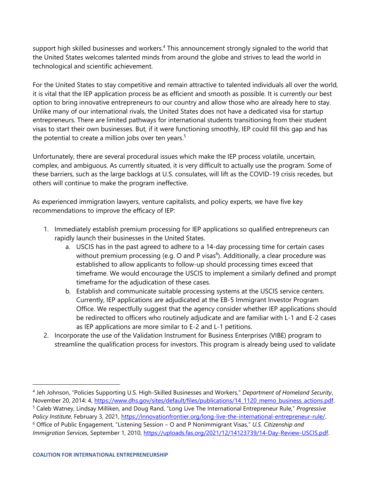support high skilled businesses and workers.<sup>4</sup> This announcement strongly signaled to the world that the United States welcomes talented minds from around the globe and strives to lead the world in technological and scientific achievement.

For the United States to stay competitive and remain attractive to talented individuals all over the world, it is vital that the IEP application process be as efficient and smooth as possible. It is currently our best option to bring innovative entrepreneurs to our country and allow those who are already here to stay. Unlike many of our international rivals, the United States does not have a dedicated visa for startup entrepreneurs. There are limited pathways for international students transitioning from their student visas to start their own businesses. But, if it were functioning smoothly, IEP could fill this gap and has the potential to create a million jobs over ten years. $5$ 

Unfortunately, there are several procedural issues which make the IEP process volatile, uncertain, complex, and ambiguous. As currently situated, it is very difficult to actually use the program. Some of these barriers, such as the large backlogs at U.S. consulates, will lift as the COVID-19 crisis recedes, but others will continue to make the program ineffective.

As experienced immigration lawyers, venture capitalists, and policy experts, we have five key recommendations to improve the efficacy of IEP:

- 1. Immediately establish premium processing for IEP applications so qualified entrepreneurs can rapidly launch their businesses in the United States.
	- a. USCIS has in the past agreed to adhere to a 14-day processing time for certain cases without premium processing (e.g. O and P visas<sup>6</sup>). Additionally, a clear procedure was established to allow applicants to follow-up should processing times exceed that timeframe. We would encourage the USCIS to implement a similarly defined and prompt timeframe for the adjudication of these cases.
	- b. Establish and communicate suitable processing systems at the USCIS service centers. Currently, IEP applications are adjudicated at the EB-5 Immigrant Investor Program Office. We respectfully suggest that the agency consider whether IEP applications should be redirected to officers who routinely adjudicate and are familiar with L-1 and E-2 cases as IEP applications are more similar to E-2 and L-1 petitions.
- 2. Incorporate the use of the Validation Instrument for Business Enterprises (VIBE) program to streamline the qualification process for investors. This program is already being used to validate

<sup>4</sup> Jeh Johnson, "Policies Supporting U.S. High-Skilled Businesses and Workers," *Department of Homeland Security*, November 20, 2014: 4, [https://www.dhs.gov/sites/default/files/publications/14\\_1120\\_memo\\_business\\_actions.pdf.](https://www.dhs.gov/sites/default/files/publications/14_1120_memo_business_actions.pdf) <sup>5</sup> Caleb Watney, Lindsay Milliken, and Doug Rand, "Long Live The International Entrepreneur Rule," *Progressive Policy Institute*, February 3, 2021, [https://innovationfrontier.org/long-live-the-international-entrepreneur-rule/.](https://innovationfrontier.org/long-live-the-international-entrepreneur-rule/) <sup>6</sup> Office of Public Engagement, "Listening Session – O and P Nonimmigrant Visas," *U.S. Citizenship and Immigration Services*, September 1, 2010, [https://uploads.fas.org/2021/12/14123739/14-Day-Review-USCIS.pdf.](https://uploads.fas.org/2021/12/14123739/14-Day-Review-USCIS.pdf)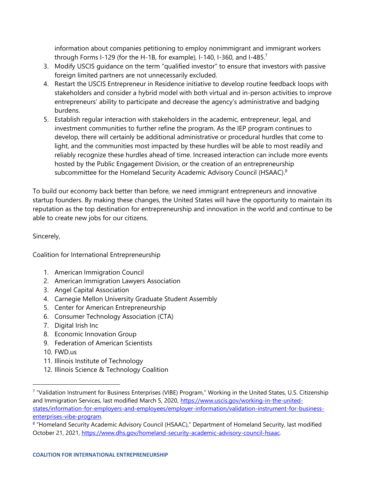information about companies petitioning to employ nonimmigrant and immigrant workers through Forms I-129 (for the H-1B, for example), I-140, I-360, and I-485.<sup>7</sup>

- 3. Modify USCIS guidance on the term "qualified investor" to ensure that investors with passive foreign limited partners are not unnecessarily excluded.
- 4. Restart the USCIS Entrepreneur in Residence initiative to develop routine feedback loops with stakeholders and consider a hybrid model with both virtual and in-person activities to improve entrepreneurs' ability to participate and decrease the agency's administrative and badging burdens.
- 5. Establish regular interaction with stakeholders in the academic, entrepreneur, legal, and investment communities to further refine the program. As the IEP program continues to develop, there will certainly be additional administrative or procedural hurdles that come to light, and the communities most impacted by these hurdles will be able to most readily and reliably recognize these hurdles ahead of time. Increased interaction can include more events hosted by the Public Engagement Division, or the creation of an entrepreneurship subcommittee for the Homeland Security Academic Advisory Council (HSAAC).<sup>8</sup>

To build our economy back better than before, we need immigrant entrepreneurs and innovative startup founders. By making these changes, the United States will have the opportunity to maintain its reputation as the top destination for entrepreneurship and innovation in the world and continue to be able to create new jobs for our citizens.

Sincerely,

Coalition for International Entrepreneurship

- 1. American Immigration Council
- 2. American Immigration Lawyers Association
- 3. Angel Capital Association
- 4. Carnegie Mellon University Graduate Student Assembly
- 5. Center for American Entrepreneurship
- 6. Consumer Technology Association (CTA)
- 7. Digital Irish Inc
- 8. Economic Innovation Group
- 9. Federation of American Scientists
- 10. FWD.us
- 11. Illinois Institute of Technology
- 12. Illinois Science & Technology Coalition

<sup>7</sup> "Validation Instrument for Business Enterprises (VIBE) Program," Working in the United States, U.S. Citizenship and Immigration Services, last modified March 5, 2020, [https://www.uscis.gov/working-in-the-united](https://www.uscis.gov/working-in-the-united-states/information-for-employers-and-employees/employer-information/validation-instrument-for-business-enterprises-vibe-program)[states/information-for-employers-and-employees/employer-information/validation-instrument-for-business](https://www.uscis.gov/working-in-the-united-states/information-for-employers-and-employees/employer-information/validation-instrument-for-business-enterprises-vibe-program)[enterprises-vibe-program.](https://www.uscis.gov/working-in-the-united-states/information-for-employers-and-employees/employer-information/validation-instrument-for-business-enterprises-vibe-program)

<sup>&</sup>lt;sup>8</sup> "Homeland Security Academic Advisory Council (HSAAC)," Department of Homeland Security, last modified October 21, 2021, [https://www.dhs.gov/homeland-security-academic-advisory-council-hsaac.](https://www.dhs.gov/homeland-security-academic-advisory-council-hsaac)